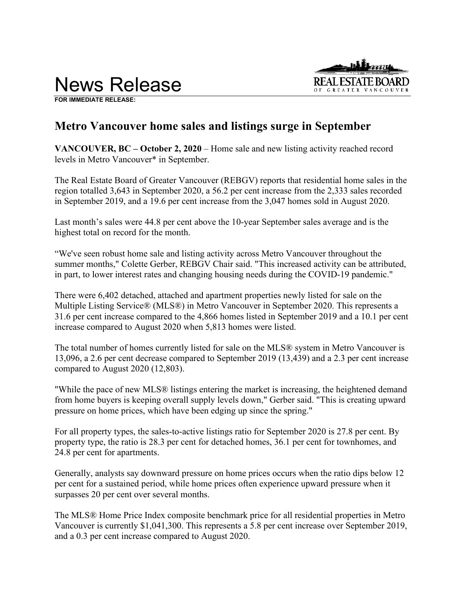News Release



**FOR IMMEDIATE RELEASE:** 

# **Metro Vancouver home sales and listings surge in September**

**VANCOUVER, BC – October 2, 2020** – Home sale and new listing activity reached record levels in Metro Vancouver\* in September.

The Real Estate Board of Greater Vancouver (REBGV) reports that residential home sales in the region totalled 3,643 in September 2020, a 56.2 per cent increase from the 2,333 sales recorded in September 2019, and a 19.6 per cent increase from the 3,047 homes sold in August 2020.

Last month's sales were 44.8 per cent above the 10-year September sales average and is the highest total on record for the month.

"We've seen robust home sale and listing activity across Metro Vancouver throughout the summer months," Colette Gerber, REBGV Chair said. "This increased activity can be attributed, in part, to lower interest rates and changing housing needs during the COVID-19 pandemic."

There were 6,402 detached, attached and apartment properties newly listed for sale on the Multiple Listing Service® (MLS®) in Metro Vancouver in September 2020. This represents a 31.6 per cent increase compared to the 4,866 homes listed in September 2019 and a 10.1 per cent increase compared to August 2020 when 5,813 homes were listed.

The total number of homes currently listed for sale on the MLS® system in Metro Vancouver is 13,096, a 2.6 per cent decrease compared to September 2019 (13,439) and a 2.3 per cent increase compared to August 2020 (12,803).

"While the pace of new MLS® listings entering the market is increasing, the heightened demand from home buyers is keeping overall supply levels down," Gerber said. "This is creating upward pressure on home prices, which have been edging up since the spring."

For all property types, the sales-to-active listings ratio for September 2020 is 27.8 per cent. By property type, the ratio is 28.3 per cent for detached homes, 36.1 per cent for townhomes, and 24.8 per cent for apartments.

Generally, analysts say downward pressure on home prices occurs when the ratio dips below 12 per cent for a sustained period, while home prices often experience upward pressure when it surpasses 20 per cent over several months.

The MLS® Home Price Index composite benchmark price for all residential properties in Metro Vancouver is currently \$1,041,300. This represents a 5.8 per cent increase over September 2019, and a 0.3 per cent increase compared to August 2020.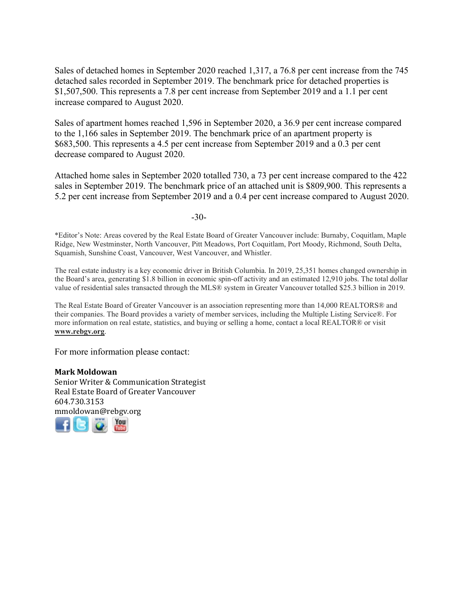Sales of detached homes in September 2020 reached 1,317, a 76.8 per cent increase from the 745 detached sales recorded in September 2019. The benchmark price for detached properties is \$1,507,500. This represents a 7.8 per cent increase from September 2019 and a 1.1 per cent increase compared to August 2020.

Sales of apartment homes reached 1,596 in September 2020, a 36.9 per cent increase compared to the 1,166 sales in September 2019. The benchmark price of an apartment property is \$683,500. This represents a 4.5 per cent increase from September 2019 and a 0.3 per cent decrease compared to August 2020.

Attached home sales in September 2020 totalled 730, a 73 per cent increase compared to the 422 sales in September 2019. The benchmark price of an attached unit is \$809,900. This represents a 5.2 per cent increase from September 2019 and a 0.4 per cent increase compared to August 2020.

-30-

\*Editor's Note: Areas covered by the Real Estate Board of Greater Vancouver include: Burnaby, Coquitlam, Maple Ridge, New Westminster, North Vancouver, Pitt Meadows, Port Coquitlam, Port Moody, Richmond, South Delta, Squamish, Sunshine Coast, Vancouver, West Vancouver, and Whistler.

The real estate industry is a key economic driver in British Columbia. In 2019, 25,351 homes changed ownership in the Board's area, generating \$1.8 billion in economic spin-off activity and an estimated 12,910 jobs. The total dollar value of residential sales transacted through the MLS® system in Greater Vancouver totalled \$25.3 billion in 2019.

The Real Estate Board of Greater Vancouver is an association representing more than 14,000 REALTORS® and their companies. The Board provides a variety of member services, including the Multiple Listing Service®. For more information on real estate, statistics, and buying or selling a home, contact a local REALTOR® or visit **www.rebgv.org**.

For more information please contact:

**Mark Moldowan** Senior Writer & Communication Strategist Real Estate Board of Greater Vancouver 604.730.3153 [mmo](http://www.facebook.com/rebgv)[ldow](http://www.twitter.com/rebgv)[an@r](http://www.rebgv.org/)[ebgv.](http://www.youtube.com/user/rebgv)org

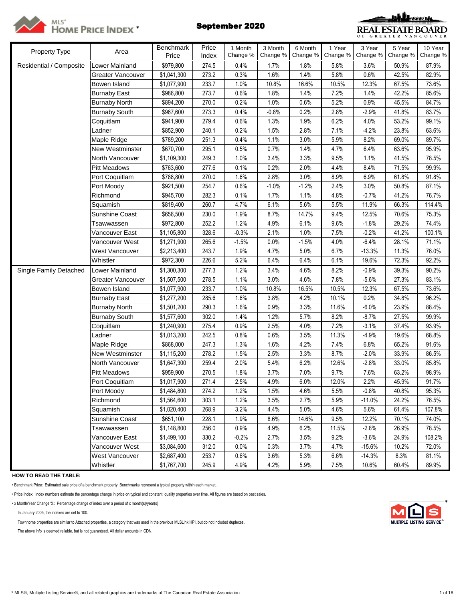



| Property Type           | Area                     | Benchmark   | Price | 1 Month  | 3 Month  | 6 Month  | 1 Year   | 3 Year   | 5 Year   | 10 Year  |
|-------------------------|--------------------------|-------------|-------|----------|----------|----------|----------|----------|----------|----------|
|                         |                          | Price       | Index | Change % | Change % | Change % | Change % | Change % | Change % | Change % |
| Residential / Composite | <b>Lower Mainland</b>    | \$979,800   | 274.5 | 0.4%     | 1.7%     | 1.8%     | 5.8%     | 3.6%     | 50.9%    | 87.9%    |
|                         | <b>Greater Vancouver</b> | \$1,041,300 | 273.2 | 0.3%     | 1.6%     | 1.4%     | 5.8%     | 0.6%     | 42.5%    | 82.9%    |
|                         | Bowen Island             | \$1,077,900 | 233.7 | 1.0%     | 10.8%    | 16.6%    | 10.5%    | 12.3%    | 67.5%    | 73.6%    |
|                         | <b>Burnaby East</b>      | \$986,800   | 273.7 | 0.6%     | 1.8%     | 1.4%     | 7.2%     | 1.4%     | 42.2%    | 85.6%    |
|                         | <b>Burnaby North</b>     | \$894,200   | 270.0 | 0.2%     | 1.0%     | 0.6%     | 5.2%     | 0.9%     | 45.5%    | 84.7%    |
|                         | <b>Burnaby South</b>     | \$967,600   | 273.3 | 0.4%     | $-0.8%$  | 0.2%     | 2.8%     | $-2.9%$  | 41.8%    | 83.7%    |
|                         | Coquitlam                | \$941,900   | 279.4 | 0.6%     | 1.3%     | 1.9%     | 6.2%     | 4.0%     | 53.2%    | 99.1%    |
|                         | Ladner                   | \$852,900   | 240.1 | 0.2%     | 1.5%     | 2.8%     | 7.1%     | $-4.2%$  | 23.8%    | 63.6%    |
|                         | Maple Ridge              | \$789,200   | 251.3 | 0.4%     | 1.1%     | 3.0%     | 5.9%     | 8.2%     | 69.0%    | 89.7%    |
|                         | <b>New Westminster</b>   | \$670,700   | 295.1 | 0.5%     | 0.7%     | 1.4%     | 4.7%     | 6.4%     | 63.6%    | 95.9%    |
|                         | North Vancouver          | \$1,109,300 | 249.3 | 1.0%     | 3.4%     | 3.3%     | 9.5%     | 1.1%     | 41.5%    | 78.5%    |
|                         | <b>Pitt Meadows</b>      | \$763,600   | 277.6 | 0.1%     | 0.2%     | 2.0%     | 4.4%     | 8.4%     | 71.5%    | 99.9%    |
|                         | Port Coquitlam           | \$788,800   | 270.0 | 1.6%     | 2.8%     | 3.0%     | 8.9%     | 6.9%     | 61.8%    | 91.8%    |
|                         | Port Moody               | \$921,500   | 254.7 | 0.6%     | $-1.0%$  | $-1.2%$  | 2.4%     | 3.0%     | 50.8%    | 87.1%    |
|                         | Richmond                 | \$945,700   | 282.3 | 0.1%     | 1.7%     | 1.1%     | 4.8%     | $-0.7%$  | 41.2%    | 76.7%    |
|                         | Squamish                 | \$819,400   | 260.7 | 4.7%     | 6.1%     | 5.6%     | 5.5%     | 11.9%    | 66.3%    | 114.4%   |
|                         | Sunshine Coast           | \$656,500   | 230.0 | 1.9%     | 8.7%     | 14.7%    | 9.4%     | 12.5%    | 70.6%    | 75.3%    |
|                         | Tsawwassen               | \$972,800   | 252.2 | 1.2%     | 4.9%     | 6.1%     | 9.6%     | $-1.8%$  | 29.2%    | 74.4%    |
|                         | Vancouver East           | \$1,105,800 | 328.6 | $-0.3%$  | 2.1%     | 1.0%     | 7.5%     | $-0.2%$  | 41.2%    | 100.1%   |
|                         | Vancouver West           | \$1,271,900 | 265.6 | $-1.5%$  | 0.0%     | $-1.5%$  | 4.0%     | $-6.4%$  | 28.1%    | 71.1%    |
|                         | West Vancouver           | \$2,213,400 | 243.7 | 1.9%     | 4.7%     | 5.0%     | 6.7%     | $-13.3%$ | 11.3%    | 76.0%    |
|                         | Whistler                 | \$972,300   | 226.6 | 5.2%     | 6.4%     | 6.4%     | 6.1%     | 19.6%    | 72.3%    | 92.2%    |
| Single Family Detached  | Lower Mainland           | \$1,300,300 | 277.3 | 1.2%     | 3.4%     | 4.6%     | 8.2%     | $-0.9%$  | 39.3%    | 90.2%    |
|                         | Greater Vancouver        | \$1,507,500 | 278.5 | 1.1%     | 3.0%     | 4.6%     | 7.8%     | $-5.6%$  | 27.3%    | 83.1%    |
|                         | Bowen Island             | \$1,077,900 | 233.7 | 1.0%     | 10.8%    | 16.5%    | 10.5%    | 12.3%    | 67.5%    | 73.6%    |
|                         | <b>Burnaby East</b>      | \$1,277,200 | 285.6 | 1.6%     | 3.8%     | 4.2%     | 10.1%    | 0.2%     | 34.8%    | 96.2%    |
|                         | <b>Burnaby North</b>     | \$1,501,200 | 290.3 | 1.6%     | 0.9%     | 3.3%     | 11.6%    | $-6.0%$  | 23.9%    | 88.4%    |
|                         | <b>Burnaby South</b>     | \$1,577,600 | 302.0 | 1.4%     | 1.2%     | 5.7%     | 8.2%     | $-8.7%$  | 27.5%    | 99.9%    |
|                         | Coquitlam                | \$1,240,900 | 275.4 | 0.9%     | 2.5%     | 4.0%     | 7.2%     | $-3.1%$  | 37.4%    | 93.9%    |
|                         | Ladner                   | \$1,013,200 | 242.5 | 0.8%     | 0.6%     | 3.5%     | 11.3%    | $-4.9%$  | 19.6%    | 68.8%    |
|                         | Maple Ridge              | \$868,000   | 247.3 | 1.3%     | 1.6%     | 4.2%     | 7.4%     | 6.8%     | 65.2%    | 91.6%    |
|                         | <b>New Westminster</b>   | \$1,115,200 | 278.2 | 1.5%     | 2.5%     | 3.3%     | 8.7%     | $-2.0%$  | 33.9%    | 86.5%    |
|                         | North Vancouver          | \$1,647,300 | 259.4 | 2.0%     | 5.4%     | 6.2%     | 12.6%    | $-2.8%$  | 33.0%    | 85.8%    |
|                         | <b>Pitt Meadows</b>      | \$959,900   | 270.5 | 1.8%     | 3.7%     | 7.0%     | 9.7%     | 7.6%     | 63.2%    | 98.9%    |
|                         | Port Coquitlam           | \$1,017,900 | 271.4 | 2.5%     | 4.9%     | 6.0%     | 12.0%    | 2.2%     | 45.9%    | 91.7%    |
|                         | Port Moody               | \$1,484,800 | 274.2 | 1.2%     | 1.5%     | 4.6%     | 5.5%     | $-0.8%$  | 40.8%    | 95.3%    |
|                         | Richmond                 | \$1,564,600 | 303.1 | 1.2%     | 3.5%     | 2.7%     | 5.9%     | $-11.0%$ | 24.2%    | 76.5%    |
|                         | Squamish                 | \$1,020,400 | 268.9 | 3.2%     | 4.4%     | 5.0%     | 4.6%     | 5.6%     | 61.4%    | 107.8%   |
|                         | Sunshine Coast           | \$651,100   | 228.1 | 1.9%     | 8.6%     | 14.6%    | 9.5%     | 12.2%    | 70.1%    | 74.0%    |
|                         | Tsawwassen               | \$1,148,800 | 256.0 | 0.9%     | 4.9%     | 6.2%     | 11.5%    | $-2.8%$  | 26.9%    | 78.5%    |
|                         | Vancouver East           | \$1,499,100 | 330.2 | $-0.2%$  | 2.7%     | 3.5%     | 9.2%     | $-3.6%$  | 24.9%    | 108.2%   |
|                         | Vancouver West           | \$3,084,600 | 312.0 | 0.0%     | 0.3%     | 3.7%     | 4.7%     | $-15.6%$ | 10.2%    | 72.0%    |
|                         | West Vancouver           | \$2,687,400 | 253.7 | 0.6%     | 3.6%     | 5.3%     | 6.6%     | $-14.3%$ | 8.3%     | 81.1%    |
|                         | Whistler                 | \$1,767,700 | 245.9 | 4.9%     | 4.2%     | 5.9%     | 7.5%     | 10.6%    | 60.4%    | 89.9%    |
|                         |                          |             |       |          |          |          |          |          |          |          |

**HOW TO READ THE TABLE:**

• Benchmark Price: Estimated sale price of a benchmark property. Benchmarks represent a typical property within each market.

• Price Index: Index numbers estimate the percentage change in price on typical and constant quality properties over time. All figures are based on past sales.

• x Month/Year Change %: Percentage change of index over a period of x month(s)/year(s) \*

In January 2005, the indexes are set to 100.

Townhome properties are similar to Attached properties, a category that was used in the previous MLSLink HPI, but do not included duplexes.

The above info is deemed reliable, but is not guaranteed. All dollar amounts in CDN.

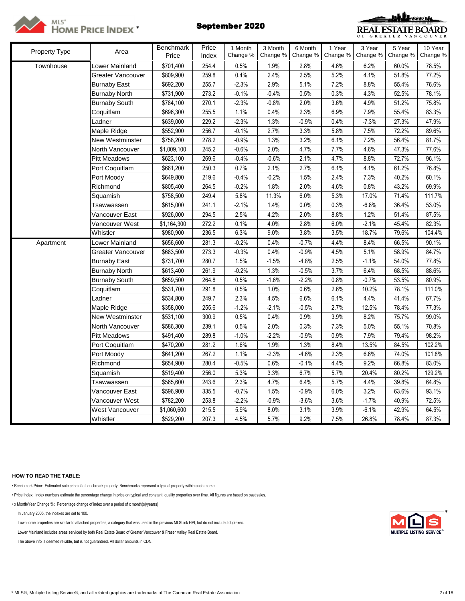



| Property Type | Area                 | <b>Benchmark</b> | Price | 1 Month  | 3 Month  | 6 Month  | 1 Year   | 3 Year   | 5 Year   | 10 Year  |
|---------------|----------------------|------------------|-------|----------|----------|----------|----------|----------|----------|----------|
|               |                      | Price            | Index | Change % | Change % | Change % | Change % | Change % | Change % | Change % |
| Townhouse     | Lower Mainland       | \$701,400        | 254.4 | 0.5%     | 1.9%     | 2.8%     | 4.6%     | 6.2%     | 60.0%    | 78.5%    |
|               | Greater Vancouver    | \$809,900        | 259.8 | 0.4%     | 2.4%     | 2.5%     | 5.2%     | 4.1%     | 51.8%    | 77.2%    |
|               | <b>Burnaby East</b>  | \$692,200        | 255.7 | $-2.3%$  | 2.9%     | 5.1%     | 7.2%     | 8.8%     | 55.4%    | 76.6%    |
|               | <b>Burnaby North</b> | \$731,900        | 273.2 | $-0.1%$  | $-0.4%$  | 0.5%     | 0.3%     | 4.3%     | 52.5%    | 78.1%    |
|               | <b>Burnaby South</b> | \$784,100        | 270.1 | $-2.3%$  | $-0.8%$  | 2.0%     | 3.6%     | 4.9%     | 51.2%    | 75.8%    |
|               | Coquitlam            | \$696,300        | 255.5 | 1.1%     | 0.4%     | 2.3%     | 6.9%     | 7.9%     | 55.4%    | 83.3%    |
|               | Ladner               | \$639,000        | 229.2 | $-2.3%$  | 1.3%     | $-0.9%$  | 0.4%     | $-7.3%$  | 27.3%    | 47.9%    |
|               | Maple Ridge          | \$552,900        | 256.7 | $-0.1%$  | 2.7%     | 3.3%     | 5.8%     | 7.5%     | 72.2%    | 89.6%    |
|               | New Westminster      | \$758,200        | 278.2 | $-0.9%$  | 1.3%     | 3.2%     | 6.1%     | 7.2%     | 56.4%    | 81.7%    |
|               | North Vancouver      | \$1,009,100      | 245.2 | $-0.6%$  | 2.0%     | 4.7%     | 7.7%     | 4.6%     | 47.3%    | 77.6%    |
|               | <b>Pitt Meadows</b>  | \$623,100        | 269.6 | $-0.4%$  | $-0.6%$  | 2.1%     | 4.7%     | 8.8%     | 72.7%    | 96.1%    |
|               | Port Coquitlam       | \$661,200        | 250.3 | 0.7%     | $2.1\%$  | 2.7%     | 6.1%     | 4.1%     | 61.2%    | 76.8%    |
|               | Port Moody           | \$649,800        | 219.6 | $-0.4%$  | $-0.2%$  | 1.5%     | 2.4%     | 7.3%     | 40.2%    | 60.1%    |
|               | Richmond             | \$805,400        | 264.5 | $-0.2%$  | 1.8%     | 2.0%     | 4.6%     | 0.8%     | 43.2%    | 69.9%    |
|               | Squamish             | \$758,500        | 249.4 | 5.8%     | 11.3%    | 6.0%     | 5.3%     | 17.0%    | 71.4%    | 111.7%   |
|               | Tsawwassen           | \$615,000        | 241.1 | $-2.1%$  | 1.4%     | 0.0%     | 0.3%     | $-6.8%$  | 36.4%    | 53.0%    |
|               | Vancouver East       | \$926,000        | 294.5 | 2.5%     | 4.2%     | 2.0%     | 8.8%     | 1.2%     | 51.4%    | 87.5%    |
|               | √ancouver West       | \$1,164,300      | 272.2 | 0.1%     | 4.0%     | 2.8%     | 6.0%     | $-2.1%$  | 45.4%    | 82.3%    |
|               | Whistler             | \$980,900        | 236.5 | 6.3%     | 9.0%     | 3.8%     | 3.5%     | 18.7%    | 79.6%    | 104.4%   |
| Apartment     | Lower Mainland       | \$656,600        | 281.3 | $-0.2%$  | 0.4%     | $-0.7%$  | 4.4%     | 8.4%     | 66.5%    | 90.1%    |
|               | Greater Vancouver    | \$683,500        | 273.3 | $-0.3%$  | 0.4%     | $-0.9%$  | 4.5%     | 5.1%     | 58.9%    | 84.7%    |
|               | <b>Burnaby East</b>  | \$731,700        | 280.7 | 1.5%     | $-1.5%$  | $-4.8%$  | 2.5%     | $-1.1%$  | 54.0%    | 77.8%    |
|               | <b>Burnaby North</b> | \$613,400        | 261.9 | $-0.2%$  | 1.3%     | $-0.5%$  | 3.7%     | 6.4%     | 68.5%    | 88.6%    |
|               | <b>Burnaby South</b> | \$659,500        | 264.8 | 0.5%     | $-1.6%$  | $-2.2%$  | 0.8%     | $-0.7%$  | 53.5%    | 80.9%    |
|               | Coquitlam            | \$531,700        | 291.8 | 0.5%     | 1.0%     | 0.6%     | 2.6%     | 10.2%    | 78.1%    | 111.0%   |
|               | Ladner               | \$534,800        | 249.7 | 2.3%     | 4.5%     | 6.6%     | 6.1%     | 4.4%     | 41.4%    | 67.7%    |
|               | Maple Ridge          | \$358,000        | 255.6 | $-1.2%$  | $-2.1%$  | $-0.5%$  | 2.7%     | 12.5%    | 78.4%    | 77.3%    |
|               | New Westminster      | \$531,100        | 300.9 | 0.5%     | 0.4%     | 0.9%     | 3.9%     | 8.2%     | 75.7%    | 99.0%    |
|               | North Vancouver      | \$586,300        | 239.1 | 0.5%     | 2.0%     | 0.3%     | 7.3%     | 5.0%     | 55.1%    | 70.8%    |
|               | <b>Pitt Meadows</b>  | \$491,400        | 289.8 | $-1.0%$  | $-2.2%$  | $-0.9%$  | 0.9%     | 7.9%     | 79.4%    | 98.2%    |
|               | Port Coquitlam       | \$470,200        | 281.2 | 1.6%     | 1.9%     | 1.3%     | 8.4%     | 13.5%    | 84.5%    | 102.2%   |
|               | Port Moody           | \$641,200        | 267.2 | 1.1%     | $-2.3%$  | $-4.6%$  | 2.3%     | 6.6%     | 74.0%    | 101.8%   |
|               | Richmond             | \$654,900        | 280.4 | $-0.5%$  | 0.6%     | $-0.1%$  | 4.4%     | 9.2%     | 66.8%    | 83.0%    |
|               | Squamish             | \$519,400        | 256.0 | 5.3%     | 3.3%     | 6.7%     | 5.7%     | 20.4%    | 80.2%    | 129.2%   |
|               | Tsawwassen           | \$565,600        | 243.6 | 2.3%     | 4.7%     | 6.4%     | 5.7%     | 4.4%     | 39.8%    | 64.8%    |
|               | Vancouver East       | \$596,900        | 335.5 | $-0.7%$  | 1.5%     | $-0.9%$  | 6.0%     | 3.2%     | 63.6%    | 93.1%    |
|               | √ancouver West       | \$782,200        | 253.8 | $-2.2%$  | $-0.9%$  | $-3.6%$  | 3.6%     | $-1.7%$  | 40.9%    | 72.5%    |
|               | West Vancouver       | \$1,060,600      | 215.5 | 5.9%     | 8.0%     | 3.1%     | 3.9%     | $-6.1%$  | 42.9%    | 64.5%    |
|               | Whistler             | \$529,200        | 207.3 | 4.5%     | 5.7%     | 9.2%     | 7.5%     | 26.8%    | 78.4%    | 87.3%    |

# **HOW TO READ THE TABLE:**

• Benchmark Price: Estimated sale price of a benchmark property. Benchmarks represent a typical property within each market.

• Price Index: Index numbers estimate the percentage change in price on typical and constant quality properties over time. All figures are based on past sales.

• x Month/Year Change %: Percentage change of index over a period of x month(s)/year(s)

In January 2005, the indexes are set to 100. \*

Townhome properties are similar to attached properties, a category that was used in the previous MLSLink HPI, but do not included duplexes.

Lower Mainland includes areas serviced by both Real Estate Board of Greater Vancouver & Fraser Valley Real Estate Board.

The above info is deemed reliable, but is not guaranteed. All dollar amounts in CDN.

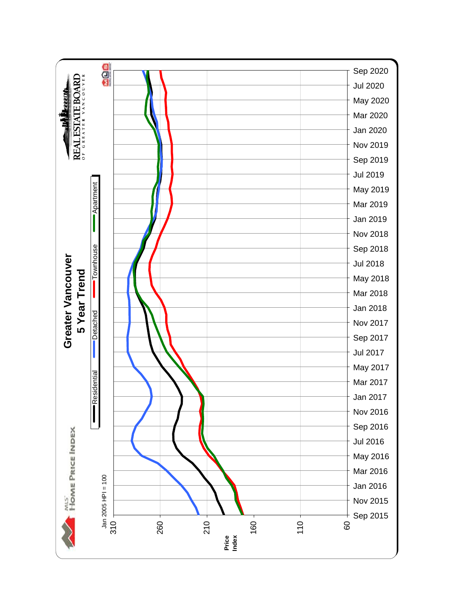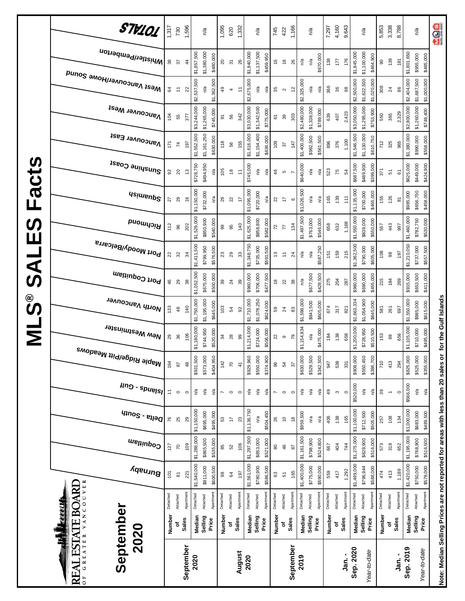|               | STV101                                            | 1,317            | 730                        | 1,596         |             | n/a         |             | 1,095                      | 620                      | 1,332                                               |             | n/a         |           | 745            | 422                                                                               | 1,166                 |                           | n/a         |           | 7,297    | 4,160                    | 9,643                             |                   | n/a                        | 5,853        | 3,338                    | 8,788          |             | n/a                        | age       |
|---------------|---------------------------------------------------|------------------|----------------------------|---------------|-------------|-------------|-------------|----------------------------|--------------------------|-----------------------------------------------------|-------------|-------------|-----------|----------------|-----------------------------------------------------------------------------------|-----------------------|---------------------------|-------------|-----------|----------|--------------------------|-----------------------------------|-------------------|----------------------------|--------------|--------------------------|----------------|-------------|----------------------------|-----------|
|               | Whistler/Pemberton                                | 38               | 57                         | $\frac{4}{3}$ | \$1,857,500 | \$1,380,000 | \$480,000   | $\overline{c}$             | $\overline{5}$           | 26                                                  | \$1,840,000 | \$1,137,500 | \$459,950 | $\frac{6}{5}$  | $\frac{8}{2}$                                                                     | 26                    | n/a                       | n/a         | \$670,000 | 138      | 177                      | \$1,845,000<br>176                |                   | \$1,100,000<br>\$464,900   | $\mathsf{S}$ | 139                      | 181            | \$1,801,650 | \$955,000<br>\$485,000     |           |
|               | Mest Vancouver/Howe Sound                         | 34               | Ξ                          | 22            | \$2,537,500 | n/a         | \$1,362,500 | 49                         | 4                        | $\tilde{t}$                                         | \$2,675,000 | n/a         | n/a       | 35             | $\sim$                                                                            | $\tilde{c}$           | \$2,325,000               | n/a         | n/a       | 366      | 36                       | \$2,500,000<br>$_{\rm 98}$        |                   | \$1,622,500<br>\$1,020,000 | 308          | $^{24}$                  | 86             | \$2,404,000 | \$1,687,500<br>\$1,000,000 |           |
|               | <b>Vancouver West</b>                             | 104              | 55                         | 377           | \$3,244,000 | \$1,265,000 | \$745,000   | 5                          | 56                       | 342                                                 | \$3,030,000 | \$1,342,500 | \$775,000 | 61             | 39                                                                                | 303                   | \$2,480,000               | \$1,338,000 | \$789,000 | 639      | 407                      | \$3,050,000<br>2,423              |                   | \$1,295,000<br>\$753,900   | 550          | 365                      | 2,329          | \$2,800,000 | \$1,260,000<br>\$748,400   |           |
|               | Vancouver East                                    | 171              | $\mathsf{z}$               | 197           | \$1,552,500 | \$1,161,250 | \$630,000   | 118                        | 56                       | 155                                                 | \$1,616,000 | \$1,154,400 | \$636,000 | 109            | 57                                                                                | 147                   | \$1,400,000               | \$992,500   | \$561,500 | 896      | 376                      | \$1,546,500<br>1,100              |                   | \$1,130,000<br>\$610,750   | 712          | 325                      | 965            | \$1,380,000 | \$990,000<br>\$558,000     |           |
| Facts         | Sunshine Coast                                    | 95               | $20$                       | 13            | \$728,750   | \$494,950   | n/a         | 105                        | $\frac{8}{2}$            | $\stackrel{\scriptstyle\smile}{\scriptstyle\smile}$ | \$745,000   | n/a         | n/a       | 46             | Ю                                                                                 |                       | \$640,000                 | ηá          | ηá        | 523      | 75                       | \$687,500<br>54                   |                   | \$489,900<br>\$399,000     | 371          | 51                       | 61             | \$625,000   | \$449,000<br>\$424,900     |           |
|               | <b>Usimenp<sup>2</sup></b>                        | 27               | 29                         | $\frac{6}{5}$ | \$1,150,000 | \$732,000   | n/a         | 29                         | 22                       | 17                                                  | \$1,095,000 | \$720,000   | n/a       | $\overline{2}$ | $\ddot{ }$                                                                        | $\mathbf  \circ$      | \$1,026,500               | n/a         | n/a       | 165      | 139                      | \$1,135,000<br>111                |                   | \$700,000<br>\$465,000     | 155          | 126                      | $\overline{8}$ | \$985,000   | \$656,750<br>\$458,000     |           |
| <b>S</b><br>Ш | Richmond                                          | 112              | 96                         | 202           | \$1,529,000 | \$850,900   | \$540,000   | 99                         | 95                       | 140                                                 | \$1,625,000 | \$858,800   | \$582,000 | 72             | 77                                                                                | 134                   | \$1,497,500               | \$763,000   | \$546,000 | 658      | 632                      | \$1,550,000<br>1,168              |                   | \$839,000<br>\$550,000     | 557          | 443                      | 997            | \$1,460,000 | \$782,750<br>\$530,000     |           |
| <b>LIAS</b>   | Port Moody/Belcarra                               | 22               | $\boldsymbol{\mathcal{S}}$ | 34            | \$1,411,500 | \$799,950   | \$576,500   | $\boldsymbol{\mathcal{Z}}$ | 29                       | 33                                                  | \$1,348,750 | \$735,000   | \$591,500 | 13             | $\stackrel{\scriptstyle\scriptstyle\smile}{\scriptstyle\cdot\mskip-4mu\text{--}}$ | $^{24}$               | $\mathbb{S}^{\mathsf{d}}$ | n/a         | \$587,250 | 151      | 159                      | \$1,362,500<br>215                |                   | \$790,000<br>\$605,000     | 108          | $_{\rm 98}$              | 197            | \$1,210,050 | \$737,000<br>\$557,500     |           |
|               | Port Coquitlam                                    | 46               | 29                         | 38            | \$1,052,500 | \$675,000   | \$500,000   | 39                         | 24                       | 39                                                  | \$960,000   | \$706,000   | \$477,500 | $\frac{8}{2}$  | 22                                                                                | $38\,$                | n/a                       | \$677,500   | \$428,500 | 275      | 204                      | \$980,000<br>287                  |                   | \$690,000<br>\$455,000     | 215          | 184                      | 269            | \$915,000   | \$653,500<br>\$411,000     |           |
| ို့<br>ဟ      | North Vancouver                                   | 133              | 48                         | 140           | \$1,750,000 | \$1,195,000 | \$645,000   | 103                        | 54                       | 92                                                  | \$1,710,000 | \$1,078,250 | \$624,000 | 59             | $\overline{24}$                                                                   | 83                    | \$1,598,000               | \$941,500   | \$605,000 | 674      | 317                      | \$1,663,334<br>821                |                   | \$1,054,900<br>\$645,000   | 581          | 261                      | 697            | \$1,550,000 | \$985,000<br>\$615,000     |           |
| Σ             | New Westminster                                   | 29               | 36                         | 106           | \$1,180,000 | \$744,950   | \$520,000   | 34                         | 28                       | 99                                                  | \$1,214,000 | \$724,000   | \$506,000 | 22             | $\circ$                                                                           | 79                    | \$1,154,834               | n/a         | \$475,000 | 184      | 138                      | \$1,200,000<br>658                |                   | \$728,950<br>\$510,500     | 153          | 69                       | 656            | \$1,105,000 | \$710,000                  | \$495,000 |
|               | <sup>Maple Ridge/Pitt Meadows</sup>               | 164              | $87$                       | 48            | \$931,500   | \$573,000   | \$404,950   | 142                        | $\overline{C}$           | $\frac{4}{3}$                                       | \$929,960   | \$550,000   | \$374,900 | 96             | 54                                                                                | 22                    | \$830,000                 | \$529,500   | \$342,500 | 947      | 538                      | \$908,000<br>331                  |                   | \$550,450<br>\$386,700     | 710          | 413                      | 294            | \$825,000   | \$525,000<br>\$355,000     |           |
|               | $\mu$ ng - spuelsl                                | $\overline{z}$   | $\circ$                    | $\circ$       | Ρá          | n/a         | n/a         | $\overline{ }$             | $\circ$                  | $\circ$                                             | n/a         | ρý          | n/a       | L              | $\circ$                                                                           | $\circ$               | Ρā                        | n/a         | n′a       | $^{49}$  | $\boldsymbol{\varsigma}$ | $\circ$                           | \$520,000         | n/a<br>n/a                 | 39           | $\overline{\phantom{a}}$ | $\circ$        | \$566,000   | n/a                        | n/a       |
|               | $q_{10}$ elta - South                             | 76               | 25                         | 29            | \$1,150,000 | \$695,000   | \$495,000   | 53                         | $\overline{\phantom{a}}$ | $23$                                                | \$1,136,750 | n/a         | \$504,450 | 26             | $\tilde{c}$                                                                       | $\frac{8}{16}$        | \$959,500                 | n/a         | n/a       | 406      | 138                      | \$1,100,000<br>165                |                   | \$712,500<br>\$505,000     | 257          | 108                      | 134            | \$1,000,000 | \$683,000                  | \$489,500 |
|               | Coquitlam                                         | 127              | $\mathcal{R}$              | 109           | \$1,288,000 | \$865,500   | \$535,000   | 85                         | 52                       | 106                                                 | \$1,297,500 | \$853,000   | \$521,000 | 8              | $\frac{4}{5}$                                                                     | 28                    | \$1,161,500               | \$798,900   | \$524,800 | 667      | 404                      | \$1,275,000<br>744                |                   | \$828,900<br>\$516,000     | 573          | 318                      | 652            | \$1,195,000 | \$768,900<br>\$516,500     |           |
|               | Burnaby                                           | $\overline{101}$ | $\overline{8}$             | 221           | \$1,540,000 | \$811,000   | \$600,500   | 98                         | \$4                      | 197                                                 | \$1,561,000 | \$780,900   | \$586,500 | 63             | 51                                                                                | 165                   | \$1,400,000               | \$775,000   | \$590,000 | 559      | 417                      | \$1,499,000<br>1,292              |                   | \$796,944<br>\$588,000     | 474          | 413                      | 1,189          | \$1,420,000 | \$750,000<br>\$578,000     |           |
|               | VANCOUVER<br><b>ESTATE BOARI</b><br><b>ERELL</b>  | Detached         | Attached                   | Apartment     | Detached    | Attached    | Apartment   | Detached                   | Attached                 | Apartmen                                            | Detached    | Attached    | Apartment | Detached       | Attached                                                                          | Apartmen <sup>-</sup> | Detached                  | Attached    | Apartment | Detached | Attached                 | Apartmen <sup>-</sup><br>Detached | Attached          | Apartmen                   | Detached     | Attached                 | Apartment      | Detached    | Apartment<br>Attached      |           |
|               | 2020<br>Ę                                         | <b>Number</b>    | ъ                          | Sales         | Median      | Selling     | Price       | Number                     | ٥                        | Sales                                               | Median      | Selling     | Price     | Number         | ٥                                                                                 | <b>Sales</b>          | Median                    | Selling     | Price     | Number   | Sales<br>ō               |                                   | Median<br>Selling | Price                      | Number       | ō                        | Sales          | Median      | Selling<br>Price           |           |
|               | September<br>GREATER<br>ৱ<br>RE<br>$\overline{0}$ |                  |                            | September     | 2020        |             |             |                            |                          | August                                              | 2020        |             |           |                |                                                                                   | September             | 2019                      |             |           |          |                          | Sep. 2020<br>Jan. -               |                   | Year-to-date               |              |                          | Jan.-          | Sep. 2019   | Year-to-date               |           |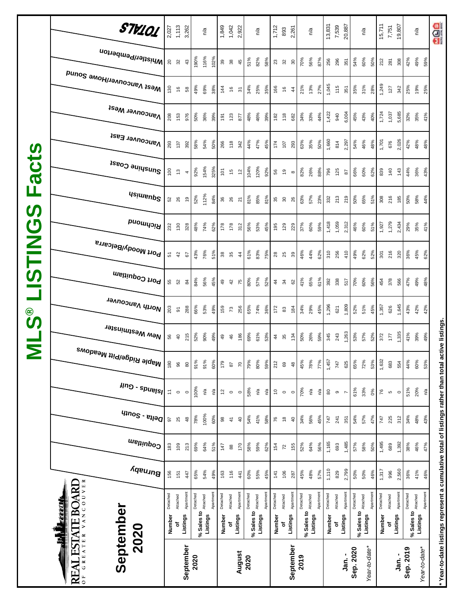|                            | STV101                                                       | 2,027                                               | 1,113              | 3,262          |            | n/a      |           |                 | $1,849$<br>$1,042$<br>$2,922$ |                |            | n/a             |           | 1,712         | 893           | 2,261          |            | n/a             |           | 13,831      | 7,539         | 20,887    |           | $n^{\prime}a$       |          | 15,711   | 7,751          | 19,807    |                                 | n/a                            | <b>ada</b>                                                                                          |
|----------------------------|--------------------------------------------------------------|-----------------------------------------------------|--------------------|----------------|------------|----------|-----------|-----------------|-------------------------------|----------------|------------|-----------------|-----------|---------------|---------------|----------------|------------|-----------------|-----------|-------------|---------------|-----------|-----------|---------------------|----------|----------|----------------|-----------|---------------------------------|--------------------------------|-----------------------------------------------------------------------------------------------------|
|                            | Whistler/Pemberton                                           |                                                     | 20 32              | $43$           | 190%       | 116%     | 102%      | $39$            | $38$                          | 45             | 51%        | 82%             | 58%       | 23            | 32            | $30\,$         | 70%        | 56%             | 87%       | 256         | 296           | 351       | 54%       | 60%                 | 50%      | 212      | 281            | 308       | 42%                             | 49%<br>59%                     |                                                                                                     |
|                            | <sub>Me2t</sub> <sub>N</sub> aucon∧el\Home 2onuq             | 130                                                 | $\frac{6}{2}$      | $58\,$         | 49%        | 69%      | 38%       | $\frac{144}{1}$ | $\frac{6}{2}$                 | $\overline{5}$ | 34%        | 25%             | 35%       | 166           | $\frac{6}{2}$ | $\frac{4}{3}$  | 21%        | 13%             | 27%       | 1,045       | 115           | 351       | 35%       | 31%                 | 28%      | 1,249    | 127            | 342       | 25%                             | 19%<br>25%                     |                                                                                                     |
|                            | <b>Vancouver West</b>                                        | 208                                                 | 153                | 976            | 50%        | 36%      | 39%       | 191             | 123                           | 877            | 48%        | 46%             | 39%       | 182           | 118           | 682            | 34%        | 33%             | 44%       | 1,422       | 940           | 6,004     | 45%       | 43%                 | 40%      | 1,724    | 1,037          | 5,685     | 32%                             | 35%<br>41%                     |                                                                                                     |
|                            | Vancouver East                                               | 293                                                 | 137                | 392            | 58%        | 54%      | 50%       | 266             | 118                           | 342            | 44%        | 47%             | 45%       | 174           | 107           | 293            | 63%        | 35%             | 50%       | 1,660       | 814           | 2,297     | 54%       | 46%                 | 48%      | 1,701    | 676            | 2,026     | 42%                             | 48%<br>48%                     |                                                                                                     |
| acts                       | Sunshine Coast                                               | 100                                                 | $\frac{3}{2}$      | 4              | 92%        | 154%     | 325%      | 101             | fo                            | $\tilde{c}$    | 104%       | 120%            | 92%       | 56            | $\frac{6}{2}$ | $\infty$       | 82%        | 26%             | 88%       | 796         | 125           | 28        | 66%       | 60%                 | 62%      | 839      | 140            | 143       | 44%                             | 36%<br>43%                     |                                                                                                     |
| щ<br>$\boldsymbol{\omega}$ | <b>Asimeup<sup>2</sup></b>                                   |                                                     | 52 86              | é,             | 52%        | 112%     | 84%       | 36              | 26                            | 21             | 81%        | 85%             | 81%       | 35            | ္တ            | 26             | 63%        | 57%             | 23%       | 332         | 213           | 219       | 50%       | 65%                 | 51%      | 308      | 216            | 185       | 50%                             | 58%<br>44%                     |                                                                                                     |
|                            | Richmond                                                     | 232                                                 | 130                | 328            | 48%        | 74%      | 62%       | 178             | 178                           | 312            | 56%        | 53%             | 45%       | 195           | 129           | 229            | 37%        | 60%             | 59%       | 1,418       | 1,059         | 2,312     | 46%       | 60%                 | 51%      | 1,927    | 1,279          | 2,434     | 29%                             | 35%<br>41%                     |                                                                                                     |
| <b>USTING</b>              | <sup>, Port Moody/Belcarra</sup>                             | 51                                                  | 42                 | 57             | 43%        | 76%      | 51%       | 38<br>35        |                               | $\frac{4}{3}$  | 61%        | 83%             | 75%       | 28            | 25            | 39             | 46%        | 44%             | 62%       | 310         | 256           | 410       | 49%       | 62%                 | 52%      | 301      | 216            | 320       | 36%                             | 45%<br>62%                     |                                                                                                     |
|                            | Port Coquitlam                                               |                                                     | 55                 | $\overline{8}$ | 84%        | 56%      | 45%       | $\overline{a}$  | 42                            | 75             | 80%        | 57%             | 52%       | $\frac{4}{4}$ | $\frac{2}{3}$ | 62             | 41%        | 65%             | 61%       | 392         | 338           | 517       | 70%       | 60%                 | 56%      | 454      | 378            | 566       | 47%                             | 49%<br>48%                     |                                                                                                     |
| ိ<br>ဟ                     | North Vancouver                                              | 203                                                 | $\overline{\circ}$ | 288            | 66%        | 53%      | 49%       | 159             | 73                            | 256            | 65%        | 74%             | 36%       | 172           | 83            | 184            | 34%        | 29%             | 45%       | 1,296       | 621           | 1,809     | 52%       | 51%                 | 45%      | 1,357    | 626            | 1,645     | 43%                             | 42%<br>42%                     |                                                                                                     |
| $\overline{\mathsf{z}}$    | , <sup>New Westminster</sup>                                 | 56                                                  | $\overline{4}$     | 215            | 52%        | 90%      | 49%       | $\overline{a}$  | 46                            | 186            | 69%        | 61%             | 53%       | 44            | 35            | 134            | 50%        | 26%             | 59%       | 345         | 243           | 1,263     | 53%       | 57%                 | 52%      | 372      | 177            | 1,335     | 41%                             | 39%<br>49%                     |                                                                                                     |
|                            | , <sup>Maple Ridge/Pitt Meadows</sup>                        | 180                                                 | 96                 | 80             | 91%        | 91%      | 60%       | 179             | $87$                          | $\sqrt{2}$     | 79%        | 80%             | 59%       | 212           | 69            | $48$           | 45%        | 78%             | 77%       | 1,457       | 747           | 625       | 65%       | 72%                 | 53%      | 1,632    | 683            | 554       | 44%                             | 60%<br>53%                     |                                                                                                     |
|                            | $\mu$ ng - spuelsl                                           | $\stackrel{\scriptstyle\smile}{\scriptstyle\smile}$ | $\circ$            | $\circ$        | 100%       | ηá       | n/a       | $\overline{5}$  | $\circ$                       | $\circ$        | 58%        | $\mathsf{n}'$ a | n′a       | \$            | $\circ$       | $\circ$        | 70%        | $\mathsf{n}'$ a | ρý        | $_{\rm 80}$ | $\, \circ \,$ |           | 61%       | 33%                 | 0%       | 76       | $\mathfrak{g}$ | $\circ$   | 51%                             | 20%<br>$\mathsf{r}^\mathsf{a}$ |                                                                                                     |
|                            | $q_{100}$ s - $e_{1100}$                                     | 57                                                  | 25                 | 48             | 78%        | 100%     | 60%       | $_{\rm 98}$     | $\frac{1}{4}$                 | $\overline{a}$ | 54%        | 41%             | 58%       | 76            | $\frac{8}{2}$ | $\overline{a}$ | 34%        | 56%             | 45%       | 747         | 241           | 351       | 54%       | 57%                 | 47%      | 747      | 225            | 312       | 34%                             | 48%<br>43%                     |                                                                                                     |
|                            | Coquitlam                                                    | 183                                                 | 109                | 213            | 69%        | 64%      | 51%       | 147             | $\pmb{\otimes}$               | 170            | 58%        | 59%             | 62%       | 154           | 72            | 155            | 52%        | 64%             | 56%       | 1,165       | 693           | 1,485     | 57%       | 58%                 | 50%      | 1,495    | 689            | 1,392     | 38%                             | 46%<br>47%                     |                                                                                                     |
|                            | Burnaby                                                      | 156                                                 | 151                | 447            | 65%        | 54%      | 49%       | 163             | 116                           | 441            | 60%        | 55%             | 45%       | 141           | 106           | 287            | 45%        | 48%             | 57%       | 1,110       | 829           | 2,799     | 50%       | 50%                 | 46%      | 1,317    | 996            | 2,560     | 36%                             | 41%<br>46%                     |                                                                                                     |
|                            | ESTATE BOARD<br><u>ettell</u>                                | Detached                                            | Attached           | Apartment      | Detached   | Attached | Apartment | Detached        | Attached                      | Apartment      | Detached   | Attached        | Apartment | Detached      | Attached      | Apartment      | Detached   | Attached        | Apartment | Detached    | Attached      | Apartment | Detached  | % Sales to Attached | Apartmen | Detached | Attached       | Apartment | Detached<br>% Sales to Attached | Apartment                      |                                                                                                     |
|                            | 2020<br>Ę                                                    | Number                                              | ৳                  | Listings       | % Sales to | Listings |           | Number          | ō                             | Listings       | % Sales to | Listings        |           | Number        | ō             | Listings       | % Sales to | Listings        |           | Number      | Listings<br>ō |           |           | Listings            |          | Number   | ٥ť             | Listings  |                                 | Listings                       |                                                                                                     |
|                            | September<br>GREATER<br>$\mathbf{N}$<br>RE<br>$\overline{0}$ |                                                     |                    | September      | 2020       |          |           |                 |                               | August         | 2020       |                 |           |               |               | September      | 2019       |                 |           |             |               | Jan. -    | Sep. 2020 | Year-to-date*       |          |          |                | _<br>ក្នុ | Sep. 2019                       | Year-to-date*                  | * Year-to-date listings represent a cumulative total of listings rather than total active listings. |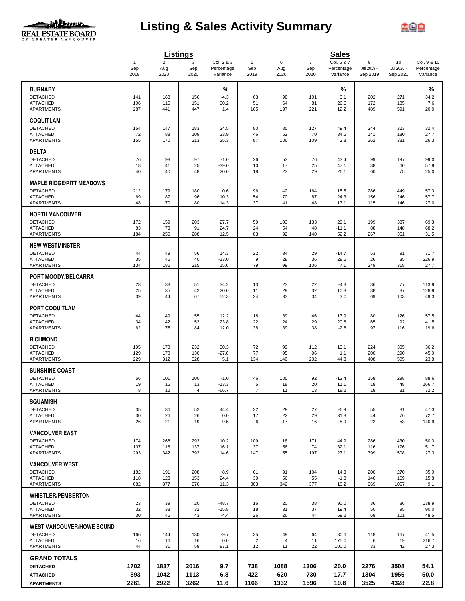

# **Listing & Sales Activity Summary**



|                                                    |                     |                       | <b>Listings</b> |                          |                |                |                       | <b>Sales</b>             |                 |                  |                           |
|----------------------------------------------------|---------------------|-----------------------|-----------------|--------------------------|----------------|----------------|-----------------------|--------------------------|-----------------|------------------|---------------------------|
|                                                    | $\mathbf{1}$<br>Sep | $\overline{2}$<br>Aug | 3<br>Sep        | Col. 2 & 3<br>Percentage | 5<br>Sep       | 6<br>Aug       | $\overline{7}$<br>Sep | Col. 6 & 7<br>Percentage | 9<br>Jul 2019 - | 10<br>Jul 2020 - | Col. 9 & 10<br>Percentage |
|                                                    | 2019                | 2020                  | 2020            | Variance                 | 2019           | 2020           | 2020                  | Variance                 | Sep 2019        | Sep 2020         | Variance                  |
| <b>BURNABY</b>                                     |                     |                       |                 | %                        |                |                |                       | %                        |                 |                  | $\%$                      |
| <b>DETACHED</b>                                    | 141                 | 163                   | 156             | $-4.3$                   | 63             | 98             | 101                   | 3.1                      | 202             | 271              | 34.2                      |
| <b>ATTACHED</b>                                    | 106                 | 116                   | 151             | 30.2                     | 51             | 64             | 81                    | 26.6                     | 172             | 185              | 7.6                       |
| APARTMENTS                                         | 287                 | 441                   | 447             | 1.4                      | 165            | 197            | 221                   | 12.2                     | 489             | 591              | 20.9                      |
| <b>COQUITLAM</b>                                   |                     |                       |                 |                          |                |                |                       |                          |                 |                  |                           |
| <b>DETACHED</b>                                    | 154                 | 147                   | 183             | 24.5                     | 80             | 85             | 127                   | 49.4                     | 244             | 323              | 32.4                      |
| <b>ATTACHED</b><br><b>APARTMENTS</b>               | 72                  | 88                    | 109             | 23.9<br>25.3             | 46<br>87       | 52             | 70                    | 34.6                     | 141             | 180<br>331       | 27.7                      |
|                                                    | 155                 | 170                   | 213             |                          |                | 106            | 109                   | 2.8                      | 262             |                  | 26.3                      |
| <b>DELTA</b>                                       |                     |                       |                 |                          |                |                |                       |                          |                 |                  |                           |
| <b>DETACHED</b>                                    | 76                  | 98                    | 97              | $-1.0$                   | 26             | 53             | 76                    | 43.4                     | 99              | 197              | 99.0                      |
| <b>ATTACHED</b><br>APARTMENTS                      | 18<br>40            | 41<br>40              | 25<br>48        | $-39.0$<br>20.0          | 10<br>18       | 17<br>23       | 25<br>29              | 47.1<br>26.1             | 38<br>60        | 60<br>75         | 57.9<br>25.0              |
|                                                    |                     |                       |                 |                          |                |                |                       |                          |                 |                  |                           |
| <b>MAPLE RIDGE/PITT MEADOWS</b><br><b>DETACHED</b> | 212                 | 179                   | 180             | 0.6                      | 96             | 142            | 164                   | 15.5                     | 286             | 449              | 57.0                      |
| <b>ATTACHED</b>                                    | 69                  | 87                    | 96              | 10.3                     | 54             | 70             | 87                    | 24.3                     | 156             | 246              | 57.7                      |
| <b>APARTMENTS</b>                                  | 48                  | 70                    | 80              | 14.3                     | 37             | 41             | 48                    | 17.1                     | 115             | 146              | 27.0                      |
| <b>NORTH VANCOUVER</b>                             |                     |                       |                 |                          |                |                |                       |                          |                 |                  |                           |
| <b>DETACHED</b>                                    | 172                 | 159                   | 203             | 27.7                     | 59             | 103            | 133                   | 29.1                     | 199             | 337              | 69.3                      |
| <b>ATTACHED</b>                                    | 83                  | 73                    | 91              | 24.7                     | 24             | 54             | 48                    | $-11.1$                  | 88              | 148              | 68.2                      |
| APARTMENTS                                         | 184                 | 256                   | 288             | 12.5                     | 83             | 92             | 140                   | 52.2                     | 267             | 351              | 31.5                      |
| <b>NEW WESTMINSTER</b>                             |                     |                       |                 |                          |                |                |                       |                          |                 |                  |                           |
| <b>DETACHED</b>                                    | 44                  | 49                    | 56              | 14.3                     | 22             | 34             | 29                    | $-14.7$                  | 53              | 91               | 71.7                      |
| <b>ATTACHED</b><br><b>APARTMENTS</b>               | 35<br>134           | 46<br>186             | 40<br>215       | $-13.0$<br>15.6          | 9<br>79        | 28<br>99       | 36<br>106             | 28.6<br>7.1              | 26<br>249       | 85<br>318        | 226.9<br>27.7             |
|                                                    |                     |                       |                 |                          |                |                |                       |                          |                 |                  |                           |
| PORT MOODY/BELCARRA                                |                     |                       |                 |                          |                |                |                       |                          |                 |                  |                           |
| <b>DETACHED</b><br><b>ATTACHED</b>                 | 28<br>25            | 38<br>35              | 51<br>42        | 34.2<br>20.0             | 13<br>11       | 23<br>29       | 22<br>32              | $-4.3$<br>10.3           | 36<br>38        | 77<br>87         | 113.9<br>128.9            |
| <b>APARTMENTS</b>                                  | 39                  | 44                    | 67              | 52.3                     | 24             | 33             | 34                    | 3.0                      | 69              | 103              | 49.3                      |
|                                                    |                     |                       |                 |                          |                |                |                       |                          |                 |                  |                           |
| <b>PORT COQUITLAM</b><br><b>DETACHED</b>           | 44                  | 49                    | 55              | 12.2                     | 18             | 39             | 46                    | 17.9                     | 80              | 126              |                           |
| <b>ATTACHED</b>                                    | 34                  | 42                    | 52              | 23.8                     | 22             | 24             | 29                    | 20.8                     | 65              | 92               | 57.5<br>41.5              |
| APARTMENTS                                         | 62                  | 75                    | 84              | 12.0                     | 38             | 39             | 38                    | $-2.6$                   | 97              | 116              | 19.6                      |
| <b>RICHMOND</b>                                    |                     |                       |                 |                          |                |                |                       |                          |                 |                  |                           |
| <b>DETACHED</b>                                    | 195                 | 178                   | 232             | 30.3                     | 72             | 99             | 112                   | 13.1                     | 224             | 305              | 36.2                      |
| <b>ATTACHED</b>                                    | 129                 | 178                   | 130             | $-27.0$                  | 77             | 95             | 96                    | 1.1                      | 200             | 290              | 45.0                      |
| <b>APARTMENTS</b>                                  | 229                 | 312                   | 328             | 5.1                      | 134            | 140            | 202                   | 44.3                     | 408             | 505              | 23.8                      |
| <b>SUNSHINE COAST</b>                              |                     |                       |                 |                          |                |                |                       |                          |                 |                  |                           |
| <b>DETACHED</b>                                    | 56                  | 101                   | 100             | $-1.0$                   | 46             | 105            | 92                    | $-12.4$                  | 158             | 298              | 88.6                      |
| <b>ATTACHED</b><br>APARTMENTS                      | 19<br>8             | 15<br>12              | 13<br>4         | $-13.3$<br>$-66.7$       | 5<br>7         | 18<br>11       | 20<br>13              | 11.1<br>18.2             | 18<br>18        | 48<br>31         | 166.7<br>72.2             |
|                                                    |                     |                       |                 |                          |                |                |                       |                          |                 |                  |                           |
| <b>SQUAMISH</b><br><b>DETACHED</b>                 |                     |                       |                 |                          |                |                |                       |                          |                 |                  |                           |
| <b>ATTACHED</b>                                    | 35<br>30            | 36<br>26              | 52<br>26        | 44.4<br>0.0              | 22<br>17       | 29<br>22       | 27<br>29              | $-6.9$<br>31.8           | 55<br>44        | 81<br>76         | 47.3<br>72.7              |
| <b>APARTMENTS</b>                                  | 26                  | 21                    | 19              | $-9.5$                   | 6              | 17             | 16                    | $-5.9$                   | 22              | 53               | 140.9                     |
| <b>VANCOUVER EAST</b>                              |                     |                       |                 |                          |                |                |                       |                          |                 |                  |                           |
| <b>DETACHED</b>                                    | 174                 | 266                   | 293             | 10.2                     | 109            | 118            | 171                   | 44.9                     | 286             | 430              | 50.3                      |
| <b>ATTACHED</b>                                    | 107                 | 118                   | 137             | 16.1                     | 37             | 56             | 74                    | 32.1                     | 116             | 176              | 51.7                      |
| APARTMENTS                                         | 293                 | 342                   | 392             | 14.6                     | 147            | 155            | 197                   | 27.1                     | 399             | 508              | 27.3                      |
| <b>VANCOUVER WEST</b>                              |                     |                       |                 |                          |                |                |                       |                          |                 |                  |                           |
| <b>DETACHED</b>                                    | 182                 | 191                   | 208             | 8.9                      | 61             | 91             | 104                   | 14.3                     | 200             | 270              | 35.0                      |
| <b>ATTACHED</b><br><b>APARTMENTS</b>               | 118<br>682          | 123<br>877            | 153<br>976      | 24.4<br>11.3             | 39<br>303      | 56<br>342      | 55<br>377             | $-1.8$<br>10.2           | 146<br>969      | 169<br>1057      | 15.8<br>9.1               |
|                                                    |                     |                       |                 |                          |                |                |                       |                          |                 |                  |                           |
| <b>WHISTLER/PEMBERTON</b><br><b>DETACHED</b>       |                     |                       | 20              | $-48.7$                  |                | 20             |                       | 90.0                     | 36              |                  | 138.9                     |
| <b>ATTACHED</b>                                    | 23<br>32            | 39<br>38              | 32              | $-15.8$                  | 16<br>18       | 31             | 38<br>37              | 19.4                     | 50              | 86<br>95         | 90.0                      |
| APARTMENTS                                         | 30                  | 45                    | 43              | $-4.4$                   | 26             | 26             | 44                    | 69.2                     | 68              | 101              | 48.5                      |
| <b>WEST VANCOUVER/HOWE SOUND</b>                   |                     |                       |                 |                          |                |                |                       |                          |                 |                  |                           |
| <b>DETACHED</b>                                    | 166                 | 144                   | 130             | $-9.7$                   | 35             | 49             | 64                    | 30.6                     | 118             | 167              | 41.5                      |
| <b>ATTACHED</b>                                    | 16                  | 16                    | 16              | 0.0                      | $\overline{2}$ | $\overline{4}$ | 11                    | 175.0                    | 6               | 19               | 216.7                     |
| APARTMENTS                                         | 44                  | 31                    | 58              | 87.1                     | 12             | 11             | 22                    | 100.0                    | 33              | 42               | 27.3                      |
| <b>GRAND TOTALS</b>                                |                     |                       |                 |                          |                |                |                       |                          |                 |                  |                           |
| <b>DETACHED</b>                                    | 1702                | 1837                  | 2016            | 9.7                      | 738            | 1088           | 1306                  | 20.0                     | 2276            | 3508             | 54.1                      |
| <b>ATTACHED</b>                                    | 893                 | 1042                  | 1113            | 6.8                      | 422            | 620            | 730                   | 17.7                     | 1304            | 1956             | 50.0                      |
| <b>APARTMENTS</b>                                  | 2261                | 2922                  | 3262            | 11.6                     | 1166           | 1332           | 1596                  | 19.8                     | 3525            | 4328             | 22.8                      |